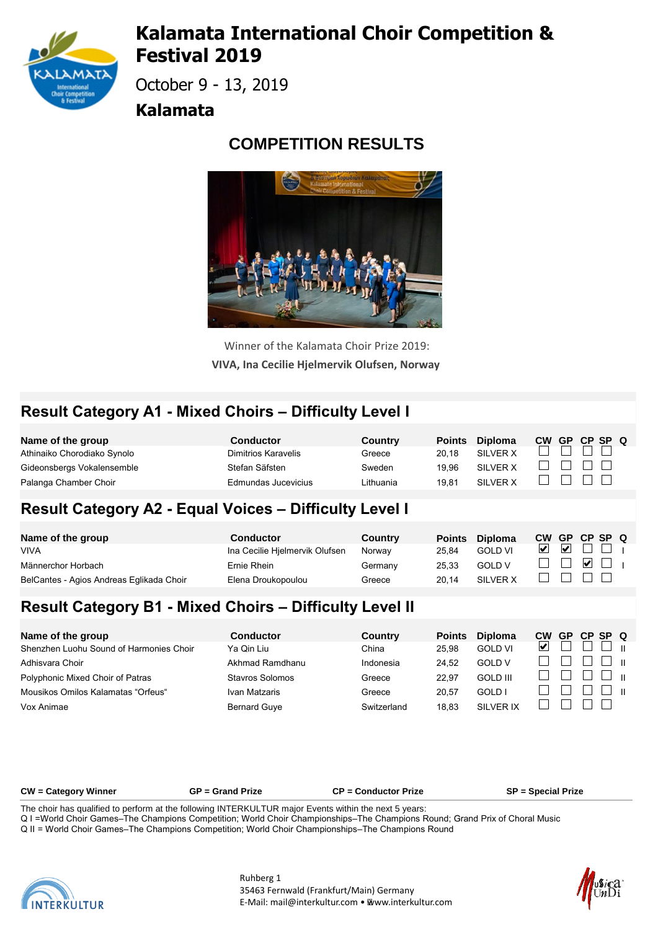

# **Kalamata International Choir Competition & Festival 2019**

October 9 - 13, 2019

#### **Kalamata**

# **COMPETITION RESULTS**



Winner of the Kalamata Choir Prize 2019: **VIVA, Ina Cecilie Hjelmervik Olufsen, Norway** 

# **Result Category A1 - Mixed Choirs – Difficulty Level I**

| Name of the group           | <b>Conductor</b>    | Country   | <b>Points</b> | <b>Diploma</b> | <b>CW</b> | <b>GP</b> | CP SP Q                    |  |
|-----------------------------|---------------------|-----------|---------------|----------------|-----------|-----------|----------------------------|--|
| Athinaiko Chorodiako Synolo | Dimitrios Karavelis | Greece    | 20.18         | SILVER X       |           |           |                            |  |
| Gideonsbergs Vokalensemble  | Stefan Säfsten      | Sweden    | 19.96         | SILVER X       |           |           |                            |  |
| Palanga Chamber Choir       | Edmundas Jucevicius | Lithuania | 19.81         | SILVER X       |           |           | $\sim$ 1 $\sim$ 1 $\sim$ 1 |  |

#### **Result Category A2 - Equal Voices – Difficulty Level I**

| Name of the group                        | <b>Conductor</b>               | Country | <b>Points</b> | <b>Diploma</b> | <b>CW</b> |                         | GP CP SP Q                                 |  |
|------------------------------------------|--------------------------------|---------|---------------|----------------|-----------|-------------------------|--------------------------------------------|--|
| <b>VIVA</b>                              | Ina Cecilie Hielmervik Olufsen | Norway  | 25.84         | <b>GOLD VI</b> |           | $\overline{\mathbf{v}}$ |                                            |  |
| Männerchor Horbach                       | Ernie Rhein                    | Germany | 25.33         | <b>GOLD V</b>  |           |                         | $\vert \vee \vert$ $\vert$ $\vert$ $\vert$ |  |
| BelCantes - Agios Andreas Eglikada Choir | Elena Droukopoulou             | Greece  | 20.14         | SILVER X       |           |                         |                                            |  |

### **Result Category B1 - Mixed Choirs – Difficulty Level II**

| Name of the group                       | <b>Conductor</b>    | Country     | <b>Points</b> | <b>Diploma</b>  | СW | <b>GP</b> | CP SP Q |               |  |
|-----------------------------------------|---------------------|-------------|---------------|-----------------|----|-----------|---------|---------------|--|
| Shenzhen Luohu Sound of Harmonies Choir | Ya Qin Liu          | China       | 25.98         | <b>GOLD VI</b>  | ⊻  |           |         | $\Box$ $\Box$ |  |
| Adhisvara Choir                         | Akhmad Ramdhanu     | Indonesia   | 24.52         | <b>GOLD V</b>   |    |           |         | r ∟l - m -    |  |
| Polyphonic Mixed Choir of Patras        | Stavros Solomos     | Greece      | 22.97         | <b>GOLD III</b> |    |           |         | – ∟ – п       |  |
| Mousikos Omilos Kalamatas "Orfeus"      | Ivan Matzaris       | Greece      | 20.57         | GOLD I          |    |           |         | $\Box$        |  |
| Vox Animae                              | <b>Bernard Guve</b> | Switzerland | 18.83         | SILVER IX       |    |           |         |               |  |

**CW = Category Winner GP = Grand Prize CP = Conductor Prize SP = Special Prize**

The choir has qualified to perform at the following INTERKULTUR major Events within the next 5 years:

Q I = World Choir Games–The Champions Competition; World Choir Championships–The Champions Round; Grand Prix of Choral Music





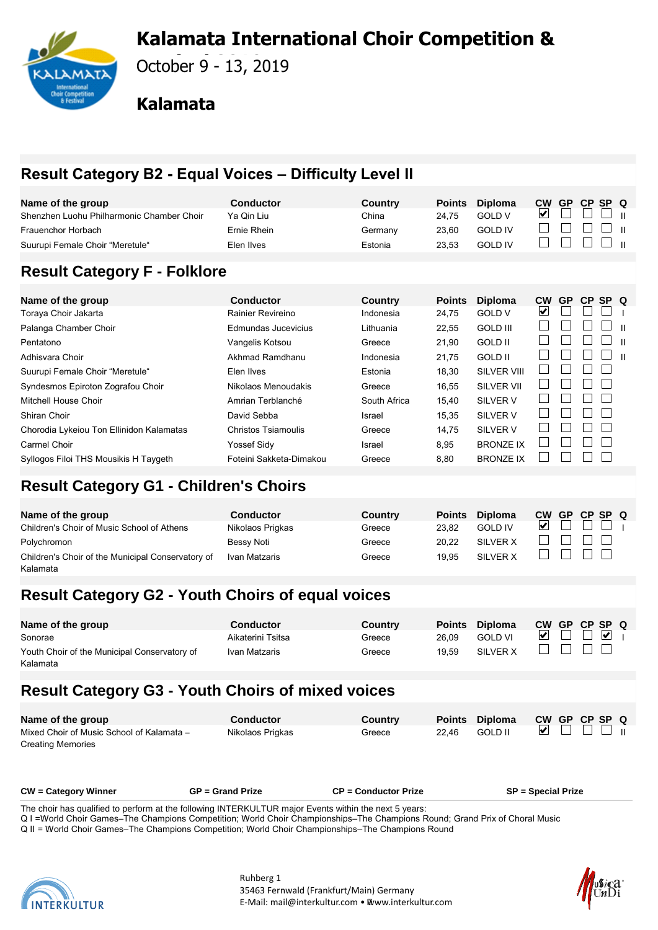# **Kalamata International Choir Competition &**



**Festival 2019** October 9 - 13, 2019

#### **Kalamata**

# **Result Category B2 - Equal Voices – Difficulty Level II**

| Name of the group                         | <b>Conductor</b>    | Country        | <b>Points</b> | <b>Diploma</b>     | <b>CW</b>                   | <b>GP</b> | CP. | <b>SP</b> | O            |
|-------------------------------------------|---------------------|----------------|---------------|--------------------|-----------------------------|-----------|-----|-----------|--------------|
| Shenzhen Luohu Philharmonic Chamber Choir | Ya Qin Liu          | China          | 24,75         | <b>GOLD V</b>      | $\vert\bm{\mathsf{v}}\vert$ |           |     |           |              |
| Frauenchor Horbach                        | Ernie Rhein         | Germany        | 23,60         | <b>GOLD IV</b>     |                             |           |     |           |              |
| Suurupi Female Choir "Meretule"           | Elen Ilves          | Estonia        | 23,53         | <b>GOLD IV</b>     |                             |           |     |           | $\mathbf{H}$ |
|                                           |                     |                |               |                    |                             |           |     |           |              |
| <b>Result Category F - Folklore</b>       |                     |                |               |                    |                             |           |     |           |              |
|                                           |                     |                |               |                    |                             |           |     |           |              |
| Name of the group                         | <b>Conductor</b>    | <b>Country</b> | <b>Points</b> | <b>Diploma</b>     | <b>CW</b>                   | <b>GP</b> | CP. | SP Q      |              |
| Toraya Choir Jakarta                      | Rainier Revireino   | Indonesia      | 24,75         | <b>GOLD V</b>      | V                           |           |     |           |              |
| Palanga Chamber Choir                     | Edmundas Jucevicius | Lithuania      | 22,55         | <b>GOLD III</b>    |                             |           |     |           |              |
| Pentatono                                 | Vangelis Kotsou     | Greece         | 21.90         | <b>GOLD II</b>     |                             |           |     |           | $\mathbf{H}$ |
| Adhisvara Choir                           | Akhmad Ramdhanu     | Indonesia      | 21,75         | <b>GOLD II</b>     |                             |           |     |           | $\mathbf{H}$ |
| Suurupi Female Choir "Meretule"           | Elen Ilves          | Estonia        | 18,30         | <b>SILVER VIII</b> |                             |           |     |           |              |
| Syndesmos Epiroton Zografou Choir         | Nikolaos Menoudakis | Greece         | 16,55         | <b>SILVER VII</b>  |                             |           |     |           |              |
| Mitchell House Choir                      | Amrian Terblanché   | South Africa   | 15,40         | SILVER V           |                             |           |     |           |              |
| Shiran Choir                              | David Sebba         | Israel         | 15,35         | SILVER V           |                             |           |     |           |              |

Chorodia Lykeiou Ton Ellinidon Kalamatas Christos Tsiamoulis Greece 14,75 SILVER V Carmel Choir Yoss Yossef Sidy Israel 8,95 BRONZE IX Syllogos Filoi THS Mousikis H Taygeth Foteini Sakketa-Dimakou Greece 8,80 BRONZE IX

Polychromon Bess Bessy Noti Greece 20,22 SILVER X Children's Choir of the Municipal Conservatory of Ivan Matzaris Greece 19,95 SILVER X

# **Result Category G2 - Youth Choirs of equal voices**

**Name of the group Conductor Conductor Country**<br> **Children's Choir of Music School of Athens Children's Children's Children's Children's** Creece

Children's Choir of Music School of Athens Nikolaos Prigkas Greece 23.82

**Result Category G1 - Children's Choirs**

| Name of the group                            | <b>Conductor</b>  | Country | <b>Points</b> | <b>Diploma</b> | <b>CW</b> | GP CP SP Q |                         |  |
|----------------------------------------------|-------------------|---------|---------------|----------------|-----------|------------|-------------------------|--|
| Sonorae                                      | Aikaterini Tsitsa | Greece  | 26.09         | <b>GOLD VI</b> |           |            | $\overline{\mathbf{v}}$ |  |
| Youth Choir of the Municipal Conservatory of | Ivan Matzaris     | Greece  | 19.59         | SILVER X       |           |            |                         |  |
| Kalamata                                     |                   |         |               |                |           |            |                         |  |

#### **Result Category G3 - Youth Choirs of mixed voices**

| Name of the group                         | Conductor        | <b>Country</b> |       | Points Diploma |  | CW GP CP SP Q |               |  |
|-------------------------------------------|------------------|----------------|-------|----------------|--|---------------|---------------|--|
| Mixed Choir of Music School of Kalamata - | Nikolaos Prigkas | Greece         | 22.46 | GOLD II        |  |               | $\Box$ $\Box$ |  |
| <b>Creating Memories</b>                  |                  |                |       |                |  |               |               |  |

The choir has qualified to perform at the following INTERKULTUR major Events within the next 5 years:

Q I = World Choir Games–The Champions Competition; World Choir Championships–The Champions Round; Grand Prix of Choral Music

**CW = Category Winner GP = Grand Prize CP = Conductor Prize SP = Special Prize**

Q II = World Choir Games–The Champions Competition; World Choir Championships–The Champions Round



Kalamata



**Points Diploma CW GP CP SP Q**<br>23.82 **GOLD IV D** D D I

 $\Box$ 

 $\Box$ П  $\Box$ 

 $\Box$ 

 $\Box$ 

 $\Box$ 

 $\Box$  $\Box$  $\Box$ 

 $\Box$ 

 $\Box$ 

 $\Box$  $\Box$  $\Box$ 

 $\Box$  $\Box$ 

 $\Box$  $\Box$